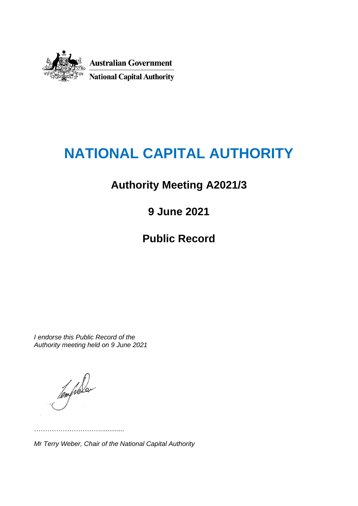

# **NATIONAL CAPITAL AUTHORITY**

# **Authority Meeting A2021/3**

**9 June 2021**

**Public Record**

*I endorse this Public Record of the Authority meeting held on 9 June 2021*

……………………………………

Templeton

*Mr Terry Weber, Chair of the National Capital Authority*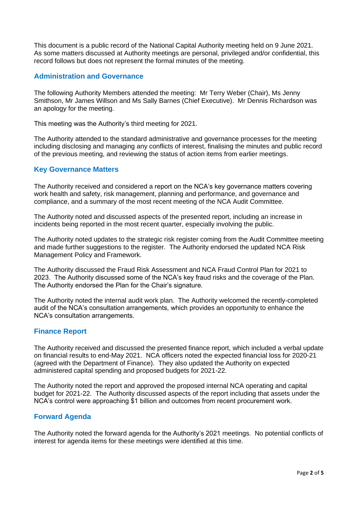This document is a public record of the National Capital Authority meeting held on 9 June 2021. As some matters discussed at Authority meetings are personal, privileged and/or confidential, this record follows but does not represent the formal minutes of the meeting.

# **Administration and Governance**

The following Authority Members attended the meeting: Mr Terry Weber (Chair), Ms Jenny Smithson, Mr James Willson and Ms Sally Barnes (Chief Executive). Mr Dennis Richardson was an apology for the meeting.

This meeting was the Authority's third meeting for 2021.

The Authority attended to the standard administrative and governance processes for the meeting including disclosing and managing any conflicts of interest, finalising the minutes and public record of the previous meeting, and reviewing the status of action items from earlier meetings.

## **Key Governance Matters**

The Authority received and considered a report on the NCA's key governance matters covering work health and safety, risk management, planning and performance, and governance and compliance, and a summary of the most recent meeting of the NCA Audit Committee.

The Authority noted and discussed aspects of the presented report, including an increase in incidents being reported in the most recent quarter, especially involving the public.

The Authority noted updates to the strategic risk register coming from the Audit Committee meeting and made further suggestions to the register. The Authority endorsed the updated NCA Risk Management Policy and Framework.

The Authority discussed the Fraud Risk Assessment and NCA Fraud Control Plan for 2021 to 2023. The Authority discussed some of the NCA's key fraud risks and the coverage of the Plan. The Authority endorsed the Plan for the Chair's signature.

The Authority noted the internal audit work plan. The Authority welcomed the recently-completed audit of the NCA's consultation arrangements, which provides an opportunity to enhance the NCA's consultation arrangements.

# **Finance Report**

The Authority received and discussed the presented finance report, which included a verbal update on financial results to end-May 2021. NCA officers noted the expected financial loss for 2020-21 (agreed with the Department of Finance). They also updated the Authority on expected administered capital spending and proposed budgets for 2021-22.

The Authority noted the report and approved the proposed internal NCA operating and capital budget for 2021-22. The Authority discussed aspects of the report including that assets under the NCA's control were approaching \$1 billion and outcomes from recent procurement work.

## **Forward Agenda**

The Authority noted the forward agenda for the Authority's 2021 meetings. No potential conflicts of interest for agenda items for these meetings were identified at this time.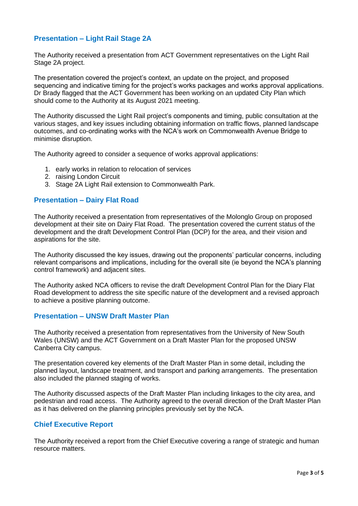# **Presentation – Light Rail Stage 2A**

The Authority received a presentation from ACT Government representatives on the Light Rail Stage 2A project.

The presentation covered the project's context, an update on the project, and proposed sequencing and indicative timing for the project's works packages and works approval applications. Dr Brady flagged that the ACT Government has been working on an updated City Plan which should come to the Authority at its August 2021 meeting.

The Authority discussed the Light Rail project's components and timing, public consultation at the various stages, and key issues including obtaining information on traffic flows, planned landscape outcomes, and co-ordinating works with the NCA's work on Commonwealth Avenue Bridge to minimise disruption.

The Authority agreed to consider a sequence of works approval applications:

- 1. early works in relation to relocation of services
- 2. raising London Circuit
- 3. Stage 2A Light Rail extension to Commonwealth Park.

#### **Presentation – Dairy Flat Road**

The Authority received a presentation from representatives of the Molonglo Group on proposed development at their site on Dairy Flat Road. The presentation covered the current status of the development and the draft Development Control Plan (DCP) for the area, and their vision and aspirations for the site.

The Authority discussed the key issues, drawing out the proponents' particular concerns, including relevant comparisons and implications, including for the overall site (ie beyond the NCA's planning control framework) and adjacent sites.

The Authority asked NCA officers to revise the draft Development Control Plan for the Diary Flat Road development to address the site specific nature of the development and a revised approach to achieve a positive planning outcome.

#### **Presentation – UNSW Draft Master Plan**

The Authority received a presentation from representatives from the University of New South Wales (UNSW) and the ACT Government on a Draft Master Plan for the proposed UNSW Canberra City campus.

The presentation covered key elements of the Draft Master Plan in some detail, including the planned layout, landscape treatment, and transport and parking arrangements. The presentation also included the planned staging of works.

The Authority discussed aspects of the Draft Master Plan including linkages to the city area, and pedestrian and road access. The Authority agreed to the overall direction of the Draft Master Plan as it has delivered on the planning principles previously set by the NCA.

# **Chief Executive Report**

The Authority received a report from the Chief Executive covering a range of strategic and human resource matters.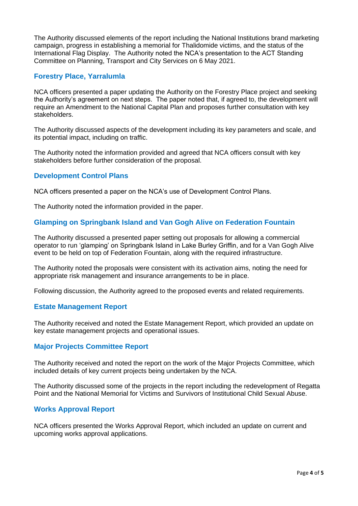The Authority discussed elements of the report including the National Institutions brand marketing campaign, progress in establishing a memorial for Thalidomide victims, and the status of the International Flag Display. The Authority noted the NCA's presentation to the ACT Standing Committee on Planning, Transport and City Services on 6 May 2021.

# **Forestry Place, Yarralumla**

NCA officers presented a paper updating the Authority on the Forestry Place project and seeking the Authority's agreement on next steps. The paper noted that, if agreed to, the development will require an Amendment to the National Capital Plan and proposes further consultation with key stakeholders.

The Authority discussed aspects of the development including its key parameters and scale, and its potential impact, including on traffic.

The Authority noted the information provided and agreed that NCA officers consult with key stakeholders before further consideration of the proposal.

# **Development Control Plans**

NCA officers presented a paper on the NCA's use of Development Control Plans.

The Authority noted the information provided in the paper.

# **Glamping on Springbank Island and Van Gogh Alive on Federation Fountain**

The Authority discussed a presented paper setting out proposals for allowing a commercial operator to run 'glamping' on Springbank Island in Lake Burley Griffin, and for a Van Gogh Alive event to be held on top of Federation Fountain, along with the required infrastructure.

The Authority noted the proposals were consistent with its activation aims, noting the need for appropriate risk management and insurance arrangements to be in place.

Following discussion, the Authority agreed to the proposed events and related requirements.

## **Estate Management Report**

The Authority received and noted the Estate Management Report, which provided an update on key estate management projects and operational issues.

## **Major Projects Committee Report**

The Authority received and noted the report on the work of the Major Projects Committee, which included details of key current projects being undertaken by the NCA.

The Authority discussed some of the projects in the report including the redevelopment of Regatta Point and the National Memorial for Victims and Survivors of Institutional Child Sexual Abuse.

## **Works Approval Report**

NCA officers presented the Works Approval Report, which included an update on current and upcoming works approval applications.